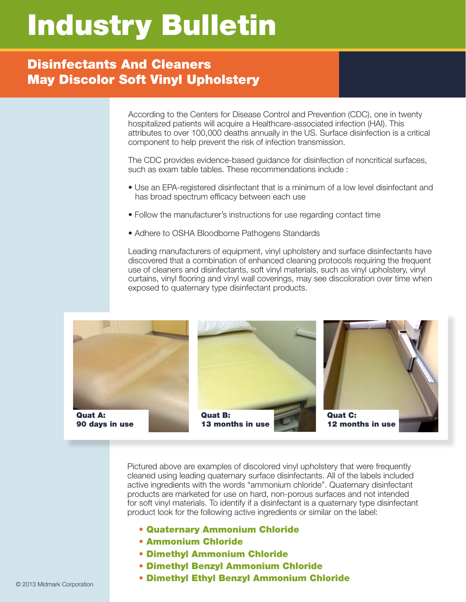## Industry Bulletin

## Disinfectants And Cleaners May Discolor Soft Vinyl Upholstery

According to the Centers for Disease Control and Prevention (CDC), one in twenty hospitalized patients will acquire a Healthcare-associated infection (HAI). This attributes to over 100,000 deaths annually in the US. Surface disinfection is a critical component to help prevent the risk of infection transmission.

The CDC provides evidence-based guidance for disinfection of noncritical surfaces, such as exam table tables. These recommendations include :

- Use an EPA-registered disinfectant that is a minimum of a low level disinfectant and has broad spectrum efficacy between each use
- Follow the manufacturer's instructions for use regarding contact time
- Adhere to OSHA Bloodborne Pathogens Standards

Leading manufacturers of equipment, vinyl upholstery and surface disinfectants have discovered that a combination of enhanced cleaning protocols requiring the frequent use of cleaners and disinfectants, soft vinyl materials, such as vinyl upholstery, vinyl curtains, vinyl flooring and vinyl wall coverings, may see discoloration over time when exposed to quaternary type disinfectant products.



Pictured above are examples of discolored vinyl upholstery that were frequently cleaned using leading quaternary surface disinfectants. All of the labels included active ingredients with the words "ammonium chloride". Quaternary disinfectant products are marketed for use on hard, non-porous surfaces and not intended for soft vinyl materials. To identify if a disinfectant is a quaternary type disinfectant product look for the following active ingredients or similar on the label:

- Quaternary Ammonium Chloride
- Ammonium Chloride
- Dimethyl Ammonium Chloride
- Dimethyl Benzyl Ammonium Chloride
- Dimethyl Ethyl Benzyl Ammonium Chloride © 2013 Midmark Corporation